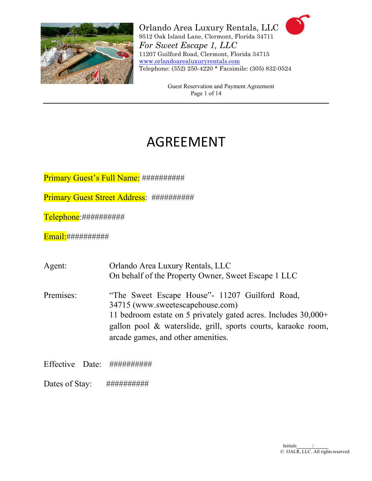

> Guest Reservation and Payment Agreement Page 1 of 14

# AGREEMENT

Primary Guest's Full Name: ###########

Primary Guest Street Address: ###########

Telephone:##########

Email: ###########

| Agent:    | Orlando Area Luxury Rentals, LLC                                                                                                                                                                                                                               |
|-----------|----------------------------------------------------------------------------------------------------------------------------------------------------------------------------------------------------------------------------------------------------------------|
|           | On behalf of the Property Owner, Sweet Escape 1 LLC                                                                                                                                                                                                            |
| Premises: | "The Sweet Escape House" - 11207 Guilford Road,<br>34715 (www.sweetescapehouse.com)<br>11 bedroom estate on 5 privately gated acres. Includes $30,000+$<br>gallon pool & waterslide, grill, sports courts, karaoke room,<br>arcade games, and other amenities. |
|           |                                                                                                                                                                                                                                                                |

Effective Date: ##########

Dates of Stay: ###########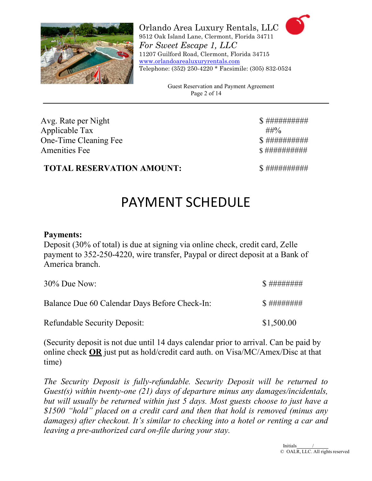

> Guest Reservation and Payment Agreement Page 2 of 14

Avg. Rate per Night \$ ########## Applicable Tax  $\# \# \%$ One-Time Cleaning Fee \$ ########## Amenities Fee \$ ##########

## **TOTAL RESERVATION AMOUNT:**  $\qquad \qquad$  \$ ############

# PAYMENT SCHEDULE

## **Payments:**

Deposit (30% of total) is due at signing via online check, credit card, Zelle payment to 352-250-4220, wire transfer, Paypal or direct deposit at a Bank of America branch.

| $30\%$ Due Now:                               | \$##########     |
|-----------------------------------------------|------------------|
| Balance Due 60 Calendar Days Before Check-In: | $$$ ############ |
| <b>Refundable Security Deposit:</b>           | \$1,500.00       |

(Security deposit is not due until 14 days calendar prior to arrival. Can be paid by online check **OR** just put as hold/credit card auth. on Visa/MC/Amex/Disc at that time)

*The Security Deposit is fully-refundable. Security Deposit will be returned to Guest(s) within twenty-one (21) days of departure minus any damages/incidentals, but will usually be returned within just 5 days. Most guests choose to just have a \$1500 "hold" placed on a credit card and then that hold is removed (minus any damages) after checkout. It's similar to checking into a hotel or renting a car and leaving a pre-authorized card on-file during your stay.*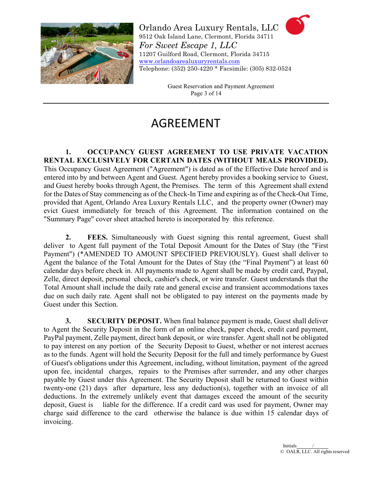

> Guest Reservation and Payment Agreement Page 3 of 14

## AGREEMENT

**1. OCCUPANCY GUEST AGREEMENT TO USE PRIVATE VACATION RENTAL EXCLUSIVELY FOR CERTAIN DATES (WITHOUT MEALS PROVIDED).**  This Occupancy Guest Agreement ("Agreement") is dated as of the Effective Date hereof and is entered into by and between Agent and Guest. Agent hereby provides a booking service to Guest, and Guest hereby books through Agent, the Premises. The term of this Agreement shall extend for the Dates of Stay commencing as of the Check-In Time and expiring as of the Check-Out Time, provided that Agent, Orlando Area Luxury Rentals LLC, and the property owner (Owner) may evict Guest immediately for breach of this Agreement. The information contained on the "Summary Page" cover sheet attached hereto is incorporated by this reference.

**2. FEES.** Simultaneously with Guest signing this rental agreement, Guest shall deliver to Agent full payment of the Total Deposit Amount for the Dates of Stay (the "First Payment") (\*AMENDED TO AMOUNT SPECIFIED PREVIOUSLY). Guest shall deliver to Agent the balance of the Total Amount for the Dates of Stay (the "Final Payment") at least 60 calendar days before check in. All payments made to Agent shall be made by credit card, Paypal, Zelle, direct deposit, personal check, cashier's check, or wire transfer. Guest understands that the Total Amount shall include the daily rate and general excise and transient accommodations taxes due on such daily rate. Agent shall not be obligated to pay interest on the payments made by Guest under this Section.

**3. SECURITY DEPOSIT.** When final balance payment is made, Guest shall deliver to Agent the Security Deposit in the form of an online check, paper check, credit card payment, PayPal payment, Zelle payment, direct bank deposit, or wire transfer. Agent shall not be obligated to pay interest on any portion of the Security Deposit to Guest, whether or not interest accrues as to the funds. Agent will hold the Security Deposit for the full and timely performance by Guest of Guest's obligations under this Agreement, including, without limitation, payment of the agreed upon fee, incidental charges, repairs to the Premises after surrender, and any other charges payable by Guest under this Agreement. The Security Deposit shall be returned to Guest within twenty-one (21) days after departure, less any deduction(s), together with an invoice of all deductions. In the extremely unlikely event that damages exceed the amount of the security deposit, Guest is liable for the difference. If a credit card was used for payment, Owner may charge said difference to the card otherwise the balance is due within 15 calendar days of invoicing.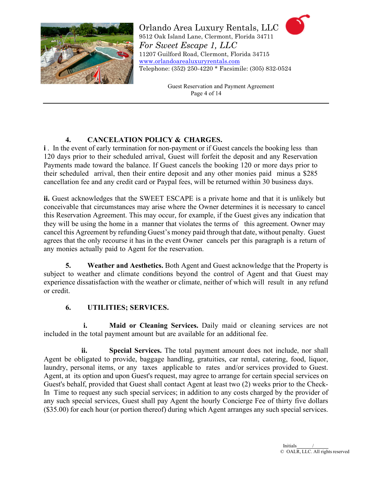

> Guest Reservation and Payment Agreement Page 4 of 14

### **4. CANCELATION POLICY & CHARGES.**

**i**. In the event of early termination for non-payment or if Guest cancels the booking less than 120 days prior to their scheduled arrival, Guest will forfeit the deposit and any Reservation Payments made toward the balance. If Guest cancels the booking 120 or more days prior to their scheduled arrival, then their entire deposit and any other monies paid minus a \$285 cancellation fee and any credit card or Paypal fees, will be returned within 30 business days.

**ii.** Guest acknowledges that the SWEET ESCAPE is a private home and that it is unlikely but conceivable that circumstances may arise where the Owner determines it is necessary to cancel this Reservation Agreement. This may occur, for example, if the Guest gives any indication that they will be using the home in a manner that violates the terms of this agreement. Owner may cancel this Agreement by refunding Guest's money paid through that date, without penalty. Guest agrees that the only recourse it has in the event Owner cancels per this paragraph is a return of any monies actually paid to Agent for the reservation.

**5. Weather and Aesthetics.** Both Agent and Guest acknowledge that the Property is subject to weather and climate conditions beyond the control of Agent and that Guest may experience dissatisfaction with the weather or climate, neither of which will result in any refund or credit.

#### **6. UTILITIES; SERVICES.**

**i. Maid or Cleaning Services.** Daily maid or cleaning services are not included in the total payment amount but are available for an additional fee.

**ii. Special Services.** The total payment amount does not include, nor shall Agent be obligated to provide, baggage handling, gratuities, car rental, catering, food, liquor, laundry, personal items, or any taxes applicable to rates and/or services provided to Guest. Agent, at its option and upon Guest's request, may agree to arrange for certain special services on Guest's behalf, provided that Guest shall contact Agent at least two (2) weeks prior to the Check-In Time to request any such special services; in addition to any costs charged by the provider of any such special services, Guest shall pay Agent the hourly Concierge Fee of thirty five dollars (\$35.00) for each hour (or portion thereof) during which Agent arranges any such special services.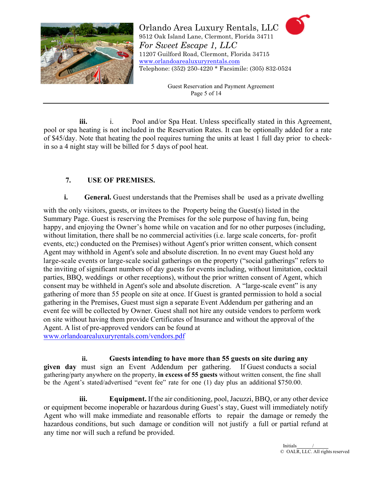

> Guest Reservation and Payment Agreement Page 5 of 14

iii. **i.** Pool and/or Spa Heat. Unless specifically stated in this Agreement, pool or spa heating is not included in the Reservation Rates. It can be optionally added for a rate of \$45/day. Note that heating the pool requires turning the units at least 1 full day prior to checkin so a 4 night stay will be billed for 5 days of pool heat.

#### **7. USE OF PREMISES.**

#### **i. General.** Guest understands that the Premises shall be used as a private dwelling

with the only visitors, guests, or invitees to the Property being the Guest(s) listed in the Summary Page. Guest is reserving the Premises for the sole purpose of having fun, being happy, and enjoying the Owner's home while on vacation and for no other purposes (including, without limitation, there shall be no commercial activities (i.e. large scale concerts, for- profit events, etc;) conducted on the Premises) without Agent's prior written consent, which consent Agent may withhold in Agent's sole and absolute discretion. In no event may Guest hold any large-scale events or large-scale social gatherings on the property ("social gatherings" refers to the inviting of significant numbers of day guests for events including, without limitation, cocktail parties, BBQ, weddings or other receptions), without the prior written consent of Agent, which consent may be withheld in Agent's sole and absolute discretion. A "large-scale event" is any gathering of more than 55 people on site at once. If Guest is granted permission to hold a social gathering in the Premises, Guest must sign a separate Event Addendum per gathering and an event fee will be collected by Owner. Guest shall not hire any outside vendors to perform work on site without having them provide Certificates of Insurance and without the approval of the Agent. A list of pre-approved vendors can be found at [www.orlandoarealuxuryrentals.com/vendors.pdf](http://www.orlandoarealuxuryrentals.com/vendors.pdf)

**ii. Guests intending to have more than 55 guests on site during any given day** must sign an Event Addendum per gathering. If Guest conducts a social gathering/party anywhere on the property, **in excess of 55 guests** without written consent, the fine shall be the Agent's stated/advertised "event fee" rate for one (1) day plus an additional \$750.00.

**iii. Equipment.** If the air conditioning, pool, Jacuzzi, BBQ, or any other device or equipment become inoperable or hazardous during Guest's stay, Guest will immediately notify Agent who will make immediate and reasonable efforts to repair the damage or remedy the hazardous conditions, but such damage or condition will not justify a full or partial refund at any time nor will such a refund be provided.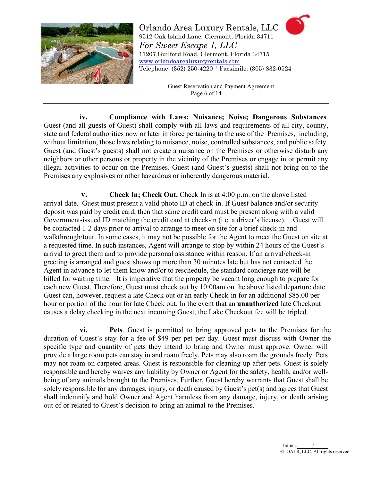

> Guest Reservation and Payment Agreement Page 6 of 14

**iv. Compliance with Laws; Nuisance; Noise; Dangerous Substances**. Guest (and all guests of Guest) shall comply with all laws and requirements of all city, county, state and federal authorities now or later in force pertaining to the use of the Premises, including, without limitation, those laws relating to nuisance, noise, controlled substances, and public safety. Guest (and Guest's guests) shall not create a nuisance on the Premises or otherwise disturb any neighbors or other persons or property in the vicinity of the Premises or engage in or permit any illegal activities to occur on the Premises. Guest (and Guest's guests) shall not bring on to the Premises any explosives or other hazardous or inherently dangerous material.

**v. Check In; Check Out.** Check In is at 4:00 p.m. on the above listed arrival date. Guest must present a valid photo ID at check-in. If Guest balance and/or security deposit was paid by credit card, then that same credit card must be present along with a valid Government-issued ID matching the credit card at check-in (i.e. a driver's license). Guest will be contacted 1-2 days prior to arrival to arrange to meet on site for a brief check-in and walkthrough/tour. In some cases, it may not be possible for the Agent to meet the Guest on site at a requested time. In such instances, Agent will arrange to stop by within 24 hours of the Guest's arrival to greet them and to provide personal assistance within reason. If an arrival/check-in greeting is arranged and guest shows up more than 30 minutes late but has not contacted the Agent in advance to let them know and/or to reschedule, the standard concierge rate will be billed for waiting time. It is imperative that the property be vacant long enough to prepare for each new Guest. Therefore, Guest must check out by 10:00am on the above listed departure date. Guest can, however, request a late Check out or an early Check-in for an additional \$85.00 per hour or portion of the hour for late Check out. In the event that an **unauthorized** late Checkout causes a delay checking in the next incoming Guest, the Lake Checkout fee will be tripled.

**vi. Pets**. Guest is permitted to bring approved pets to the Premises for the duration of Guest's stay for a fee of \$49 per pet per day. Guest must discuss with Owner the specific type and quantity of pets they intend to bring and Owner must approve. Owner will provide a large room pets can stay in and roam freely. Pets may also roam the grounds freely. Pets may not roam on carpeted areas. Guest is responsible for cleaning up after pets. Guest is solely responsible and hereby waives any liability by Owner or Agent for the safety, health, and/or wellbeing of any animals brought to the Premises. Further, Guest hereby warrants that Guest shall be solely responsible for any damages, injury, or death caused by Guest's pet(s) and agrees that Guest shall indemnify and hold Owner and Agent harmless from any damage, injury, or death arising out of or related to Guest's decision to bring an animal to the Premises.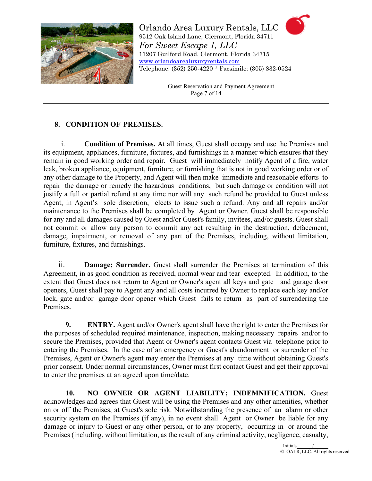

> Guest Reservation and Payment Agreement Page 7 of 14

#### **8. CONDITION OF PREMISES.**

i. **Condition of Premises.** At all times, Guest shall occupy and use the Premises and its equipment, appliances, furniture, fixtures, and furnishings in a manner which ensures that they remain in good working order and repair. Guest will immediately notify Agent of a fire, water leak, broken appliance, equipment, furniture, or furnishing that is not in good working order or of any other damage to the Property, and Agent will then make immediate and reasonable efforts to repair the damage or remedy the hazardous conditions, but such damage or condition will not justify a full or partial refund at any time nor will any such refund be provided to Guest unless Agent, in Agent's sole discretion, elects to issue such a refund. Any and all repairs and/or maintenance to the Premises shall be completed by Agent or Owner. Guest shall be responsible for any and all damages caused by Guest and/or Guest's family, invitees, and/or guests. Guest shall not commit or allow any person to commit any act resulting in the destruction, defacement, damage, impairment, or removal of any part of the Premises, including, without limitation, furniture, fixtures, and furnishings.

ii. **Damage; Surrender.** Guest shall surrender the Premises at termination of this Agreement, in as good condition as received, normal wear and tear excepted. In addition, to the extent that Guest does not return to Agent or Owner's agent all keys and gate and garage door openers, Guest shall pay to Agent any and all costs incurred by Owner to replace each key and/or lock, gate and/or garage door opener which Guest fails to return as part of surrendering the Premises.

**9. ENTRY.** Agent and/or Owner's agent shall have the right to enter the Premises for the purposes of scheduled required maintenance, inspection, making necessary repairs and/or to secure the Premises, provided that Agent or Owner's agent contacts Guest via telephone prior to entering the Premises. In the case of an emergency or Guest's abandonment or surrender of the Premises, Agent or Owner's agent may enter the Premises at any time without obtaining Guest's prior consent. Under normal circumstances, Owner must first contact Guest and get their approval to enter the premises at an agreed upon time/date.

**10. NO OWNER OR AGENT LIABILITY; INDEMNIFICATION.** Guest acknowledges and agrees that Guest will be using the Premises and any other amenities, whether on or off the Premises, at Guest's sole risk. Notwithstanding the presence of an alarm or other security system on the Premises (if any), in no event shall Agent or Owner be liable for any damage or injury to Guest or any other person, or to any property, occurring in or around the Premises (including, without limitation, as the result of any criminal activity, negligence, casualty,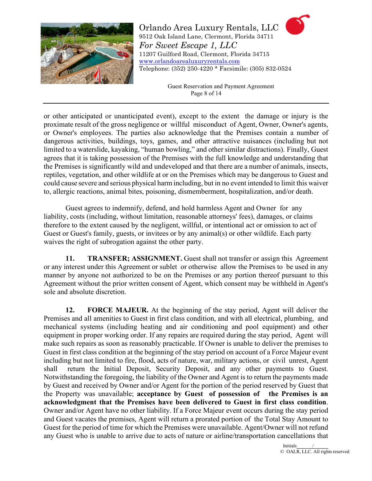

> Guest Reservation and Payment Agreement Page 8 of 14

or other anticipated or unanticipated event), except to the extent the damage or injury is the proximate result of the gross negligence or willful misconduct of Agent, Owner, Owner's agents, or Owner's employees. The parties also acknowledge that the Premises contain a number of dangerous activities, buildings, toys, games, and other attractive nuisances (including but not limited to a waterslide, kayaking, "human bowling," and other similar distractions). Finally, Guest agrees that it is taking possession of the Premises with the full knowledge and understanding that the Premises is significantly wild and undeveloped and that there are a number of animals, insects, reptiles, vegetation, and other wildlife at or on the Premises which may be dangerous to Guest and could cause severe and serious physical harm including, but in no event intended to limit this waiver to, allergic reactions, animal bites, poisoning, dismemberment, hospitalization, and/or death.

Guest agrees to indemnify, defend, and hold harmless Agent and Owner for any liability, costs (including, without limitation, reasonable attorneys' fees), damages, or claims therefore to the extent caused by the negligent, willful, or intentional act or omission to act of Guest or Guest's family, guests, or invitees or by any animal(s) or other wildlife. Each party waives the right of subrogation against the other party.

**11. TRANSFER; ASSIGNMENT.** Guest shall not transfer or assign this Agreement or any interest under this Agreement or sublet or otherwise allow the Premises to be used in any manner by anyone not authorized to be on the Premises or any portion thereof pursuant to this Agreement without the prior written consent of Agent, which consent may be withheld in Agent's sole and absolute discretion.

**12. FORCE MAJEUR.** At the beginning of the stay period, Agent will deliver the Premises and all amenities to Guest in first class condition, and with all electrical, plumbing, and mechanical systems (including heating and air conditioning and pool equipment) and other equipment in proper working order. If any repairs are required during the stay period, Agent will make such repairs as soon as reasonably practicable. If Owner is unable to deliver the premises to Guest in first class condition at the beginning of the stay period on account of a Force Majeur event including but not limited to fire, flood, acts of nature, war, military actions, or civil unrest, Agent shall return the Initial Deposit, Security Deposit, and any other payments to Guest. Notwithstanding the foregoing, the liability of the Owner and Agent is to return the payments made by Guest and received by Owner and/or Agent for the portion of the period reserved by Guest that the Property was unavailable; **acceptance by Guest of possession of the Premises is an acknowledgment that the Premises have been delivered to Guest in first class condition**. Owner and/or Agent have no other liability. If a Force Majeur event occurs during the stay period and Guest vacates the premises, Agent will return a prorated portion of the Total Stay Amount to Guest for the period of time for which the Premises were unavailable. Agent/Owner will not refund any Guest who is unable to arrive due to acts of nature or airline/transportation cancellations that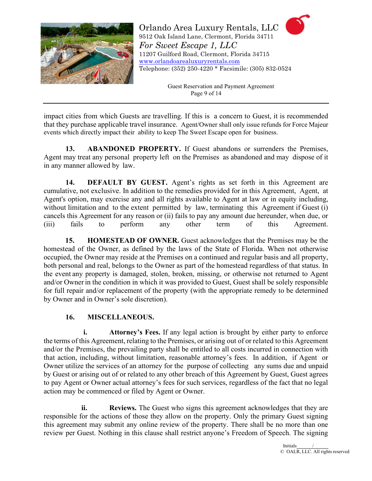

> Guest Reservation and Payment Agreement Page 9 of 14

impact cities from which Guests are travelling. If this is a concern to Guest, it is recommended that they purchase applicable travel insurance. Agent/Owner shall only issue refunds for Force Majeur events which directly impact their ability to keep The Sweet Escape open for business.

**13. ABANDONED PROPERTY.** If Guest abandons or surrenders the Premises, Agent may treat any personal property left on the Premises as abandoned and may dispose of it in any manner allowed by law.

**14. DEFAULT BY GUEST.** Agent's rights as set forth in this Agreement are cumulative, not exclusive. In addition to the remedies provided for in this Agreement, Agent, at Agent's option, may exercise any and all rights available to Agent at law or in equity including, without limitation and to the extent permitted by law, terminating this Agreement if Guest (i) cancels this Agreement for any reason or (ii) fails to pay any amount due hereunder, when due, or (iii) fails to perform any other term of this Agreement.

**15. HOMESTEAD OF OWNER.** Guest acknowledges that the Premises may be the homestead of the Owner, as defined by the laws of the State of Florida. When not otherwise occupied, the Owner may reside at the Premises on a continued and regular basis and all property, both personal and real, belongs to the Owner as part of the homestead regardless of that status. In the event any property is damaged, stolen, broken, missing, or otherwise not returned to Agent and/or Ownerin the condition in which it was provided to Guest, Guest shall be solely responsible for full repair and/or replacement of the property (with the appropriate remedy to be determined by Owner and in Owner's sole discretion).

#### **16. MISCELLANEOUS.**

**i. Attorney's Fees.** If any legal action is brought by either party to enforce the terms of this Agreement, relating to the Premises, or arising out of or related to this Agreement and/or the Premises, the prevailing party shall be entitled to all costs incurred in connection with that action, including, without limitation, reasonable attorney's fees. In addition, if Agent or Owner utilize the services of an attorney for the purpose of collecting any sums due and unpaid by Guest or arising out of or related to any other breach of this Agreement by Guest, Guest agrees to pay Agent or Owner actual attorney's fees for such services, regardless of the fact that no legal action may be commenced or filed by Agent or Owner.

**ii. Reviews.** The Guest who signs this agreement acknowledges that they are responsible for the actions of those they allow on the property. Only the primary Guest signing this agreement may submit any online review of the property. There shall be no more than one review per Guest. Nothing in this clause shall restrict anyone's Freedom of Speech. The signing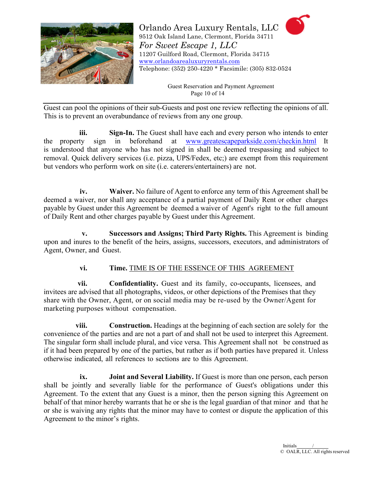

> Guest Reservation and Payment Agreement Page 10 of 14

Guest can pool the opinions of their sub-Guests and post one review reflecting the opinions of all. This is to prevent an overabundance of reviews from any one group.

**iii. Sign-In.** The Guest shall have each and every person who intends to enter the property sign in beforehand at [www.greatescapeparkside.com/checkin.html](http://www.greatescapeparkside.com/checkin.html) It is understood that anyone who has not signed in shall be deemed trespassing and subject to removal. Quick delivery services (i.e. pizza, UPS/Fedex, etc;) are exempt from this requirement but vendors who perform work on site (i.e. caterers/entertainers) are not.

**iv. Waiver.** No failure of Agent to enforce any term of this Agreement shall be deemed a waiver, nor shall any acceptance of a partial payment of Daily Rent or other charges payable by Guest under this Agreement be deemed a waiver of Agent's right to the full amount of Daily Rent and other charges payable by Guest under this Agreement.

**v. Successors and Assigns; Third Party Rights.** This Agreement is binding upon and inures to the benefit of the heirs, assigns, successors, executors, and administrators of Agent, Owner, and Guest.

#### **vi. Time.** TIME IS OF THE ESSENCE OF THIS AGREEMENT

**vii. Confidentiality.** Guest and its family, co-occupants, licensees, and invitees are advised that all photographs, videos, or other depictions of the Premises that they share with the Owner, Agent, or on social media may be re-used by the Owner/Agent for marketing purposes without compensation.

**viii. Construction.** Headings at the beginning of each section are solely for the convenience of the parties and are not a part of and shall not be used to interpret this Agreement. The singular form shall include plural, and vice versa. This Agreement shall not be construed as if it had been prepared by one of the parties, but rather as if both parties have prepared it. Unless otherwise indicated, all references to sections are to this Agreement.

**ix. Joint and Several Liability.** If Guest is more than one person, each person shall be jointly and severally liable for the performance of Guest's obligations under this Agreement. To the extent that any Guest is a minor, then the person signing this Agreement on behalf of that minor hereby warrants that he or she is the legal guardian of that minor and that he or she is waiving any rights that the minor may have to contest or dispute the application of this Agreement to the minor's rights.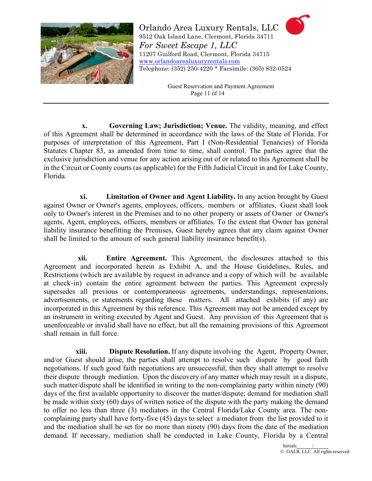

> Guest Reservation and Payment Agreement Page 11 of 14

**x. Governing Law; Jurisdiction; Venue.** The validity, meaning, and effect of this Agreement shall be determined in accordance with the laws of the State of Florida. For purposes of interpretation of this Agreement, Part I (Non-Residential Tenancies) of Florida Statutes Chapter 83, as amended from time to time, shall control. The parties agree that the exclusive jurisdiction and venue for any action arising out of or related to this Agreement shall be in the Circuit or County courts (as applicable) for the Fifth Judicial Circuit in and for Lake County, Florida.

**xi. Limitation of Owner and Agent Liability.** In any action brought by Guest against Owner or Owner's agents, employees, officers, members or affiliates, Guest shall look only to Owner's interest in the Premises and to no other property or assets of Owner or Owner's agents, Agent, employees, officers, members or affiliates. To the extent that Owner has general liability insurance benefitting the Premises, Guest hereby agrees that any claim against Owner shall be limited to the amount of such general liability insurance benefit(s).

**xii. Entire Agreement.** This Agreement, the disclosures attached to this Agreement and incorporated herein as Exhibit A, and the House Guidelines, Rules, and Restrictions (which are available by request in advance and a copy of which will be available at check-in) contain the entire agreement between the parties. This Agreement expressly supersedes all previous or contemporaneous agreements, understandings, representations, advertisements, or statements regarding these matters. All attached exhibits (if any) are incorporated in this Agreement by this reference. This Agreement may not be amended except by an instrument in writing executed by Agent and Guest. Any provision of this Agreement that is unenforceable or invalid shall have no effect, but all the remaining provisions of this Agreement shall remain in full force.

**xiii. Dispute Resolution.** If any dispute involving the Agent, Property Owner, and/or Guest should arise, the parties shall attempt to resolve such dispute by good faith negotiations. If such good faith negotiations are unsuccessful, then they shall attempt to resolve their dispute through mediation. Upon the discovery of any matter which may result in a dispute, such matter/dispute shall be identified in writing to the non-complaining party within ninety (90) days of the first available opportunity to discover the matter/dispute; demand for mediation shall be made within sixty (60) days of written notice of the dispute with the party making the demand to offer no less than three (3) mediators in the Central Florida/Lake County area. The noncomplaining party shall have forty-five (45) days to select a mediator from the list provided to it and the mediation shall be set for no more than ninety (90) days from the date of the mediation demand. If necessary, mediation shall be conducted in Lake County, Florida by a Central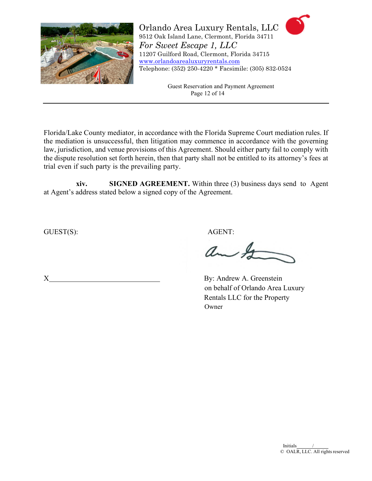

> Guest Reservation and Payment Agreement Page 12 of 14

Florida/Lake County mediator, in accordance with the Florida Supreme Court mediation rules. If the mediation is unsuccessful, then litigation may commence in accordance with the governing law, jurisdiction, and venue provisions of this Agreement. Should either party fail to comply with the dispute resolution set forth herein, then that party shall not be entitled to its attorney's fees at trial even if such party is the prevailing party.

**xiv. SIGNED AGREEMENT.** Within three (3) business days send to Agent at Agent's address stated below a signed copy of the Agreement.

GUEST(S): AGENT:

ant

X By: Andrew A. Greenstein on behalf of Orlando Area Luxury Rentals LLC for the Property Owner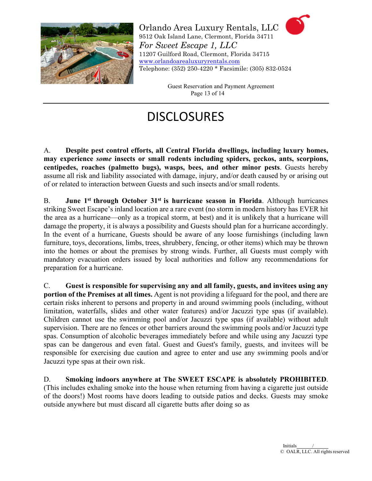

> Guest Reservation and Payment Agreement Page 13 of 14

# **DISCLOSURES**

A. **Despite pest control efforts, all Central Florida dwellings, including luxury homes, may experience** *some* **insects or small rodents including spiders, geckos, ants, scorpions, centipedes, roaches (palmetto bugs), wasps, bees, and other minor pests**. Guests hereby assume all risk and liability associated with damage, injury, and/or death caused by or arising out of or related to interaction between Guests and such insects and/or small rodents.

B. **June 1st through October 31st is hurricane season in Florida**. Although hurricanes striking Sweet Escape's inland location are a rare event (no storm in modern history has EVER hit the area as a hurricane—only as a tropical storm, at best) and it is unlikely that a hurricane will damage the property, it is always a possibility and Guests should plan for a hurricane accordingly. In the event of a hurricane, Guests should be aware of any loose furnishings (including lawn furniture, toys, decorations, limbs, trees, shrubbery, fencing, or other items) which may be thrown into the homes or about the premises by strong winds. Further, all Guests must comply with mandatory evacuation orders issued by local authorities and follow any recommendations for preparation for a hurricane.

C. **Guest is responsible for supervising any and all family, guests, and invitees using any portion of the Premises at all times.** Agent is not providing a lifeguard for the pool, and there are certain risks inherent to persons and property in and around swimming pools (including, without limitation, waterfalls, slides and other water features) and/or Jacuzzi type spas (if available). Children cannot use the swimming pool and/or Jacuzzi type spas (if available) without adult supervision. There are no fences or other barriers around the swimming pools and/or Jacuzzi type spas. Consumption of alcoholic beverages immediately before and while using any Jacuzzi type spas can be dangerous and even fatal. Guest and Guest's family, guests, and invitees will be responsible for exercising due caution and agree to enter and use any swimming pools and/or Jacuzzi type spas at their own risk.

D. **Smoking indoors anywhere at The SWEET ESCAPE is absolutely PROHIBITED**. (This includes exhaling smoke into the house when returning from having a cigarette just outside of the doors!) Most rooms have doors leading to outside patios and decks. Guests may smoke outside anywhere but must discard all cigarette butts after doing so as